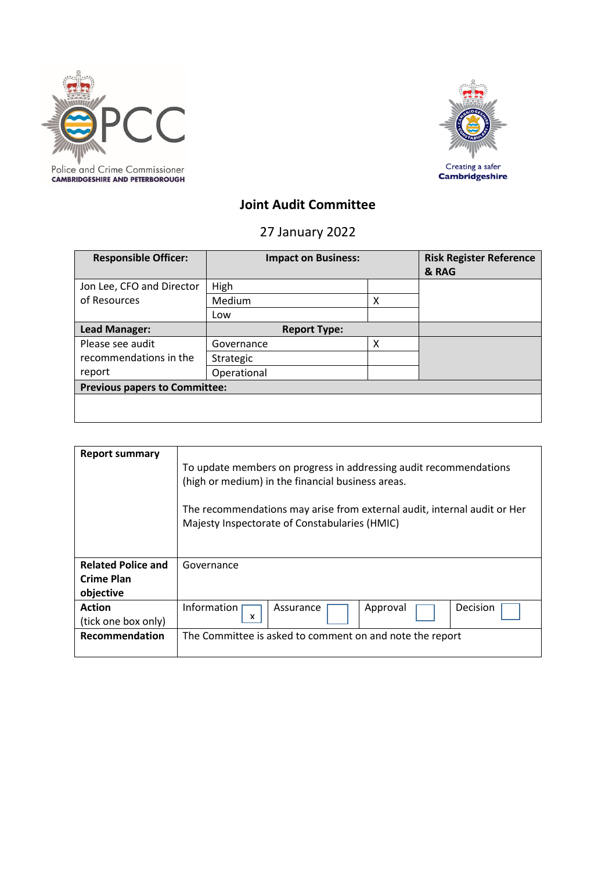



# **Joint Audit Committee**

27 January 2022

| <b>Responsible Officer:</b>          | <b>Impact on Business:</b> |   | <b>Risk Register Reference</b><br>& RAG |
|--------------------------------------|----------------------------|---|-----------------------------------------|
| Jon Lee, CFO and Director            | High                       |   |                                         |
| of Resources                         | Medium                     | Χ |                                         |
|                                      | Low                        |   |                                         |
| Lead Manager:                        | <b>Report Type:</b>        |   |                                         |
| Please see audit                     | Governance                 | х |                                         |
| recommendations in the               | Strategic                  |   |                                         |
| report                               | Operational                |   |                                         |
| <b>Previous papers to Committee:</b> |                            |   |                                         |
|                                      |                            |   |                                         |

| Report summary                                       | To update members on progress in addressing audit recommendations<br>(high or medium) in the financial business areas.<br>The recommendations may arise from external audit, internal audit or Her<br>Majesty Inspectorate of Constabularies (HMIC) |  |  |
|------------------------------------------------------|-----------------------------------------------------------------------------------------------------------------------------------------------------------------------------------------------------------------------------------------------------|--|--|
| <b>Related Police and</b><br>Crime Plan<br>objective | Governance                                                                                                                                                                                                                                          |  |  |
| <b>Action</b><br>(tick one box only)                 | Information<br>Decision<br>Approval<br>Assurance<br>x                                                                                                                                                                                               |  |  |
| <b>Recommendation</b>                                | The Committee is asked to comment on and note the report                                                                                                                                                                                            |  |  |